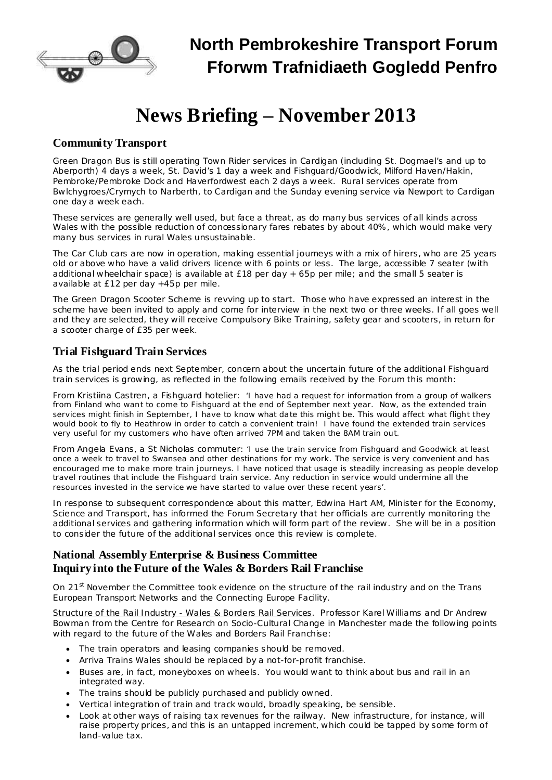

# **News Briefing – November 2013**

### **Community Transport**

Green Dragon Bus is still operating Town Rider services in Cardigan (including St. Dogmael's and up to Aberporth) 4 days a week, St. David's 1 day a week and Fishguard/Goodwick, Milford Haven/Hakin, Pembroke/Pembroke Dock and Haverfordwest each 2 days a week. Rural services operate from Bwlchygroes/Crymych to Narberth, to Cardigan and the Sunday evening service via Newport to Cardigan one day a week each.

These services are generally well used, but face a threat, as do many bus services of all kinds across Wales with the possible reduction of concessionary fares rebates by about 40%, which would make very many bus services in rural Wales unsustainable.

The Car Club cars are now in operation, making essential journeys with a mix of hirers, who are 25 years old or above who have a valid drivers licence with 6 points or less. The large, accessible 7 seater (with additional wheelchair space) is available at £18 per day + 65p per mile; and the small 5 seater is available at £12 per day +45p per mile.

The Green Dragon Scooter Scheme is revving up to start. Those who have expressed an interest in the scheme have been invited to apply and come for interview in the next two or three weeks. If all goes well and they are selected, they will receive Compulsory Bike Training, safety gear and scooters, in return for a scooter charge of £35 per week.

## **Trial Fishguard Train Services**

As the trial period ends next September, concern about the uncertain future of the additional Fishguard train services is growing, as reflected in the following emails received by the Forum this month:

From Kristiina Castren, a Fishguard hotelier: *'I have had a request for information from a group of walkers* from Finland who want to come to Fishguard at the end of September next year. Now, as the extended train services might finish in September, I have to know what date this might be. This would affect what flight they would book to fly to Heathrow in order to catch a convenient train! I have found the extended train services *very useful for my customers who have often arrived 7PM and taken the 8AM train out.*

From Angela Evans, a St Nicholas commuter: *'I use the train service from Fishguard and Goodwick at least* once a week to travel to Swansea and other destinations for my work. The service is very convenient and has encouraged me to make more train journeys. I have noticed that usage is steadily increasing as people develop *travel routines that include the Fishguard train service. Any reduction in service would undermine all the resources invested in the service we have started to value over these recent years'.*

In response to subsequent correspondence about this matter, Edwina Hart AM, Minister for the Economy, Science and Transport, has informed the Forum Secretary that her officials are currently monitoring the additional services and gathering information which will form part of the review. She will be in a position to consider the future of the additional services once this review is complete.

### **National Assembly Enterprise & Business Committee Inquiry into the Future of the Wales & Borders Rail Franchise**

On 21<sup>st</sup> November the Committee took evidence on the structure of the rail industry and on the Trans European Transport Networks and the Connecting Europe Facility.

Structure of the Rail Industry - Wales & Borders Rail Services. Professor Karel Williams and Dr Andrew Bowman from the Centre for Research on Socio-Cultural Change in Manchester made the following points with regard to the future of the Wales and Borders Rail Franchise:

- · The train operators and leasing companies should be removed.
- · Arriva Trains Wales should be replaced by a not-for-profit franchise.
- Buses are, in fact, moneyboxes on wheels. You would want to think about bus and rail in an integrated way.
- The trains should be publicly purchased and publicly owned.
- · Vertical integration of train and track would, broadly speaking, be sensible.
- Look at other ways of raising tax revenues for the railway. New infrastructure, for instance, will raise property prices, and this is an untapped increment, which could be tapped by some form of land-value tax.